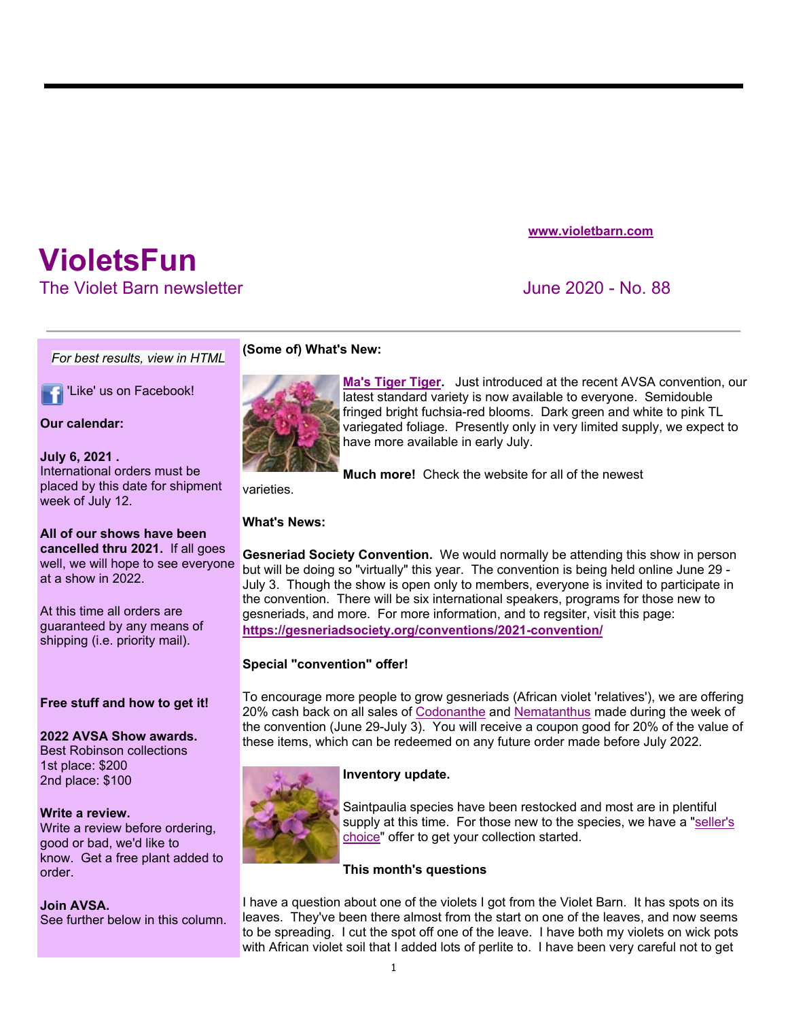# **VioletsFun**

The Violet Barn newsletter **June 2020** - No. 88

*For best results, view in HTML*

'Like' us on Facebook!

**www.violetbarn.com**

## **(Some of) What's New:**



**Ma's Tiger Tiger.** Just introduced at the recent AVSA convention, our latest standard variety is now available to everyone. Semidouble fringed bright fuchsia-red blooms. Dark green and white to pink TL variegated foliage. Presently only in very limited supply, we expect to have more available in early July.

**Much more!** Check the website for all of the newest

varieties.

## **What's News:**

**Gesneriad Society Convention.** We would normally be attending this show in person but will be doing so "virtually" this year. The convention is being held online June 29 - July 3. Though the show is open only to members, everyone is invited to participate in the convention. There will be six international speakers, programs for those new to gesneriads, and more. For more information, and to regsiter, visit this page: **https://gesneriadsociety.org/conventions/2021-convention/**

## **Special "convention" offer!**

To encourage more people to grow gesneriads (African violet 'relatives'), we are offering 20% cash back on all sales of Codonanthe and Nematanthus made during the week of the convention (June 29-July 3). You will receive a coupon good for 20% of the value of these items, which can be redeemed on any future order made before July 2022.

## **Inventory update.**





## **This month's questions**

I have a question about one of the violets I got from the Violet Barn. It has spots on its leaves. They've been there almost from the start on one of the leaves, and now seems to be spreading. I cut the spot off one of the leave. I have both my violets on wick pots with African violet soil that I added lots of perlite to. I have been very careful not to get

**Our calendar:**

**July 6, 2021 .**  International orders must be placed by this date for shipment week of July 12.

## **All of our shows have been**

**cancelled thru 2021.** If all goes well, we will hope to see everyone at a show in 2022.

At this time all orders are guaranteed by any means of shipping (i.e. priority mail).

## **Free stuff and how to get it!**

**2022 AVSA Show awards.**  Best Robinson collections 1st place: \$200 2nd place: \$100

## **Write a review.**

Write a review before ordering, good or bad, we'd like to know. Get a free plant added to order.

## **Join AVSA.**

See further below in this column.